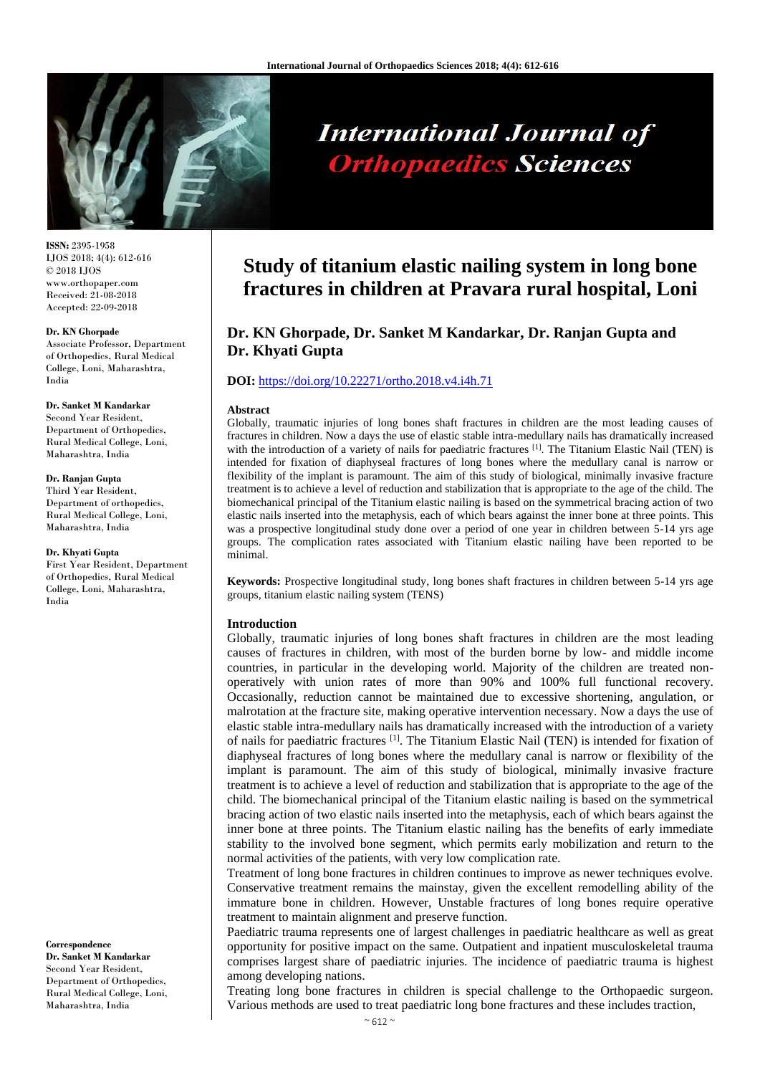

# **International Journal of Orthopaedics Sciences**

**ISSN:** 2395-1958 IJOS 2018; 4(4): 612-616 © 2018 IJOS www.orthopaper.com Received: 21-08-2018 Accepted: 22-09-2018

#### **Dr. KN Ghorpade**

Associate Professor, Department of Orthopedics, Rural Medical College, Loni, Maharashtra, India

# **Dr. Sanket M Kandarkar** Second Year Resident, Department of Orthopedics,

Rural Medical College, Loni, Maharashtra, India

#### **Dr. Ranjan Gupta**

Third Year Resident, Department of orthopedics, Rural Medical College, Loni, Maharashtra, India

#### **Dr. Khyati Gupta**

First Year Resident, Department of Orthopedics, Rural Medical College, Loni, Maharashtra, India

**Correspondence Dr. Sanket M Kandarkar** Second Year Resident, Department of Orthopedics, Rural Medical College, Loni, Maharashtra, India

# **Study of titanium elastic nailing system in long bone fractures in children at Pravara rural hospital, Loni**

# **Dr. KN Ghorpade, Dr. Sanket M Kandarkar, Dr. Ranjan Gupta and Dr. Khyati Gupta**

#### **DOI:** <https://doi.org/10.22271/ortho.2018.v4.i4h.71>

#### **Abstract**

Globally, traumatic injuries of long bones shaft fractures in children are the most leading causes of fractures in children. Now a days the use of elastic stable intra-medullary nails has dramatically increased with the introduction of a variety of nails for paediatric fractures <sup>[1]</sup>. The Titanium Elastic Nail (TEN) is intended for fixation of diaphyseal fractures of long bones where the medullary canal is narrow or flexibility of the implant is paramount. The aim of this study of biological, minimally invasive fracture treatment is to achieve a level of reduction and stabilization that is appropriate to the age of the child. The biomechanical principal of the Titanium elastic nailing is based on the symmetrical bracing action of two elastic nails inserted into the metaphysis, each of which bears against the inner bone at three points. This was a prospective longitudinal study done over a period of one year in children between 5-14 yrs age groups. The complication rates associated with Titanium elastic nailing have been reported to be minimal.

**Keywords:** Prospective longitudinal study, long bones shaft fractures in children between 5-14 yrs age groups, titanium elastic nailing system (TENS)

#### **Introduction**

Globally, traumatic injuries of long bones shaft fractures in children are the most leading causes of fractures in children, with most of the burden borne by low- and middle income countries, in particular in the developing world. Majority of the children are treated nonoperatively with union rates of more than 90% and 100% full functional recovery. Occasionally, reduction cannot be maintained due to excessive shortening, angulation, or malrotation at the fracture site, making operative intervention necessary. Now a days the use of elastic stable intra-medullary nails has dramatically increased with the introduction of a variety of nails for paediatric fractures [1]. The Titanium Elastic Nail (TEN) is intended for fixation of diaphyseal fractures of long bones where the medullary canal is narrow or flexibility of the implant is paramount. The aim of this study of biological, minimally invasive fracture treatment is to achieve a level of reduction and stabilization that is appropriate to the age of the child. The biomechanical principal of the Titanium elastic nailing is based on the symmetrical bracing action of two elastic nails inserted into the metaphysis, each of which bears against the inner bone at three points. The Titanium elastic nailing has the benefits of early immediate stability to the involved bone segment, which permits early mobilization and return to the normal activities of the patients, with very low complication rate.

Treatment of long bone fractures in children continues to improve as newer techniques evolve. Conservative treatment remains the mainstay, given the excellent remodelling ability of the immature bone in children. However, Unstable fractures of long bones require operative treatment to maintain alignment and preserve function.

Paediatric trauma represents one of largest challenges in paediatric healthcare as well as great opportunity for positive impact on the same. Outpatient and inpatient musculoskeletal trauma comprises largest share of paediatric injuries. The incidence of paediatric trauma is highest among developing nations.

Treating long bone fractures in children is special challenge to the Orthopaedic surgeon. Various methods are used to treat paediatric long bone fractures and these includes traction,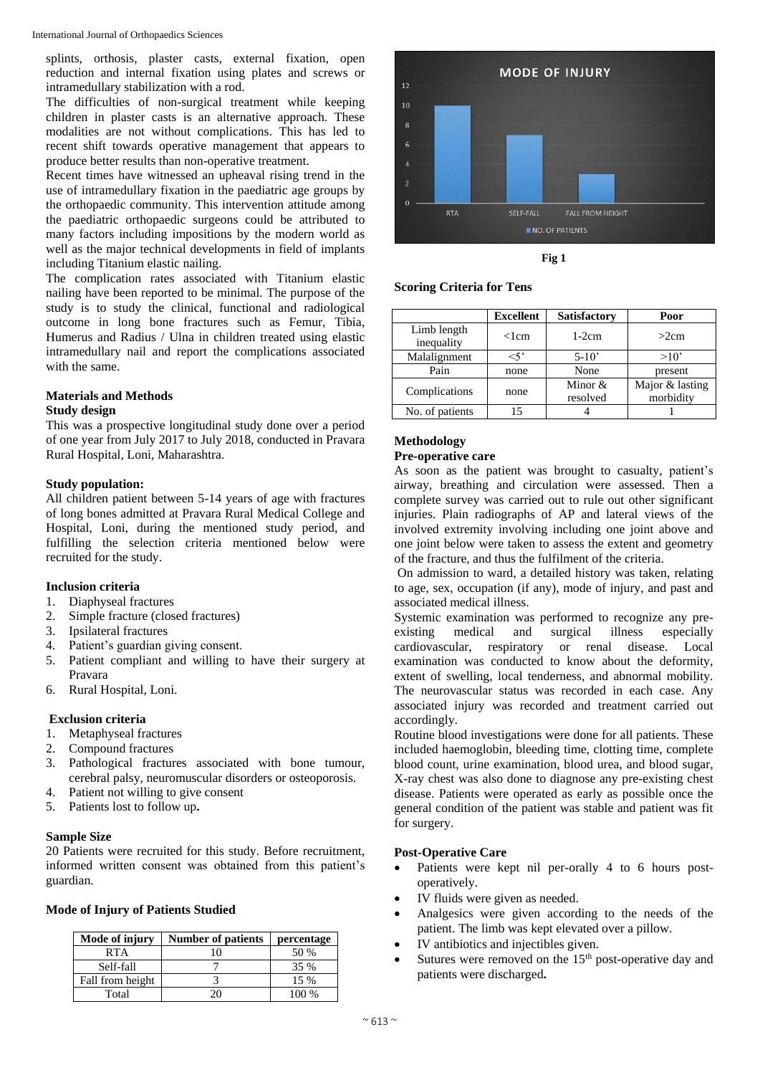splints, orthosis, plaster casts, external fixation, open reduction and internal fixation using plates and screws or intramedullary stabilization with a rod.

The difficulties of non-surgical treatment while keeping children in plaster casts is an alternative approach. These modalities are not without complications. This has led to recent shift towards operative management that appears to produce better results than non-operative treatment.

Recent times have witnessed an upheaval rising trend in the use of intramedullary fixation in the paediatric age groups by the orthopaedic community. This intervention attitude among the paediatric orthopaedic surgeons could be attributed to many factors including impositions by the modern world as well as the major technical developments in field of implants including Titanium elastic nailing.

The complication rates associated with Titanium elastic nailing have been reported to be minimal. The purpose of the study is to study the clinical, functional and radiological outcome in long bone fractures such as Femur, Tibia, Humerus and Radius / Ulna in children treated using elastic intramedullary nail and report the complications associated with the same.

# **Materials and Methods**

# **Study design**

This was a prospective longitudinal study done over a period of one year from July 2017 to July 2018, conducted in Pravara Rural Hospital, Loni, Maharashtra.

# **Study population:**

All children patient between 5-14 years of age with fractures of long bones admitted at Pravara Rural Medical College and Hospital, Loni, during the mentioned study period, and fulfilling the selection criteria mentioned below were recruited for the study.

# **Inclusion criteria**

- 1. Diaphyseal fractures
- 2. Simple fracture (closed fractures)
- 3. Ipsilateral fractures
- 4. Patient's guardian giving consent.
- 5. Patient compliant and willing to have their surgery at Pravara
- 6. Rural Hospital, Loni.

# **Exclusion criteria**

- 1. Metaphyseal fractures
- 2. Compound fractures
- 3. Pathological fractures associated with bone tumour, cerebral palsy, neuromuscular disorders or osteoporosis.
- 4. Patient not willing to give consent
- 5. Patients lost to follow up**.**

# **Sample Size**

20 Patients were recruited for this study. Before recruitment, informed written consent was obtained from this patient's guardian.

#### **Mode of Injury of Patients Studied**

| Mode of injury   | <b>Number of patients</b> | percentage |
|------------------|---------------------------|------------|
| <b>RTA</b>       | 10                        | 50 %       |
| Self-fall        |                           | 35 %       |
| Fall from height |                           | $15\%$     |
| Total            | 20                        | 100 %      |



**Fig 1**

#### **Scoring Criteria for Tens**

|                           | <b>Excellent</b> | <b>Satisfactory</b>   | Poor                         |
|---------------------------|------------------|-----------------------|------------------------------|
| Limb length<br>inequality | $<$ lcm          | $1-2cm$               | >2cm                         |
| Malalignment              | $<$ 5'           | $5-10'$               | >10'                         |
| Pain                      | none             | None                  | present                      |
| Complications             | none             | Minor $&$<br>resolved | Major & lasting<br>morbidity |
| No. of patients           |                  |                       |                              |

# **Methodology**

# **Pre-operative care**

As soon as the patient was brought to casualty, patient's airway, breathing and circulation were assessed. Then a complete survey was carried out to rule out other significant injuries. Plain radiographs of AP and lateral views of the involved extremity involving including one joint above and one joint below were taken to assess the extent and geometry of the fracture, and thus the fulfilment of the criteria.

On admission to ward, a detailed history was taken, relating to age, sex, occupation (if any), mode of injury, and past and associated medical illness.

Systemic examination was performed to recognize any preexisting medical and surgical illness especially cardiovascular, respiratory or renal disease. Local examination was conducted to know about the deformity, extent of swelling, local tenderness, and abnormal mobility. The neurovascular status was recorded in each case. Any associated injury was recorded and treatment carried out accordingly.

Routine blood investigations were done for all patients. These included haemoglobin, bleeding time, clotting time, complete blood count, urine examination, blood urea, and blood sugar, X-ray chest was also done to diagnose any pre-existing chest disease. Patients were operated as early as possible once the general condition of the patient was stable and patient was fit for surgery.

#### **Post-Operative Care**

- Patients were kept nil per-orally 4 to 6 hours postoperatively.
- IV fluids were given as needed.
- Analgesics were given according to the needs of the patient. The limb was kept elevated over a pillow.
- IV antibiotics and injectibles given.
- Sutures were removed on the  $15<sup>th</sup>$  post-operative day and patients were discharged**.**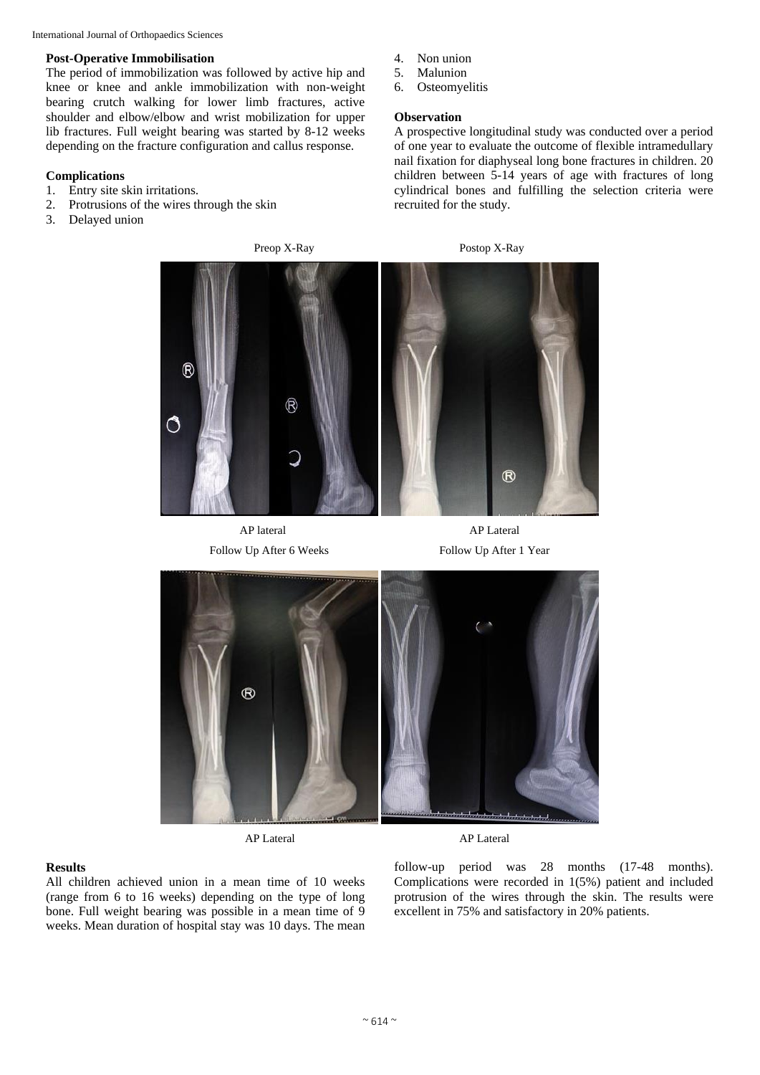International Journal of Orthopaedics Sciences

#### **Post-Operative Immobilisation**

The period of immobilization was followed by active hip and knee or knee and ankle immobilization with non-weight bearing crutch walking for lower limb fractures, active shoulder and elbow/elbow and wrist mobilization for upper lib fractures. Full weight bearing was started by 8-12 weeks depending on the fracture configuration and callus response.

# **Complications**

- 1. Entry site skin irritations.
- 2. Protrusions of the wires through the skin
- 3. Delayed union
- 4. Non union
- 5. Malunion
- 6. Osteomyelitis

#### **Observation**

A prospective longitudinal study was conducted over a period of one year to evaluate the outcome of flexible intramedullary nail fixation for diaphyseal long bone fractures in children. 20 children between 5-14 years of age with fractures of long cylindrical bones and fulfilling the selection criteria were recruited for the study.



AP lateral AP Lateral





AP Lateral AP Lateral

# **Results**

All children achieved union in a mean time of 10 weeks (range from 6 to 16 weeks) depending on the type of long bone. Full weight bearing was possible in a mean time of 9 weeks. Mean duration of hospital stay was 10 days. The mean

follow-up period was 28 months (17-48 months). Complications were recorded in 1(5%) patient and included protrusion of the wires through the skin. The results were excellent in 75% and satisfactory in 20% patients.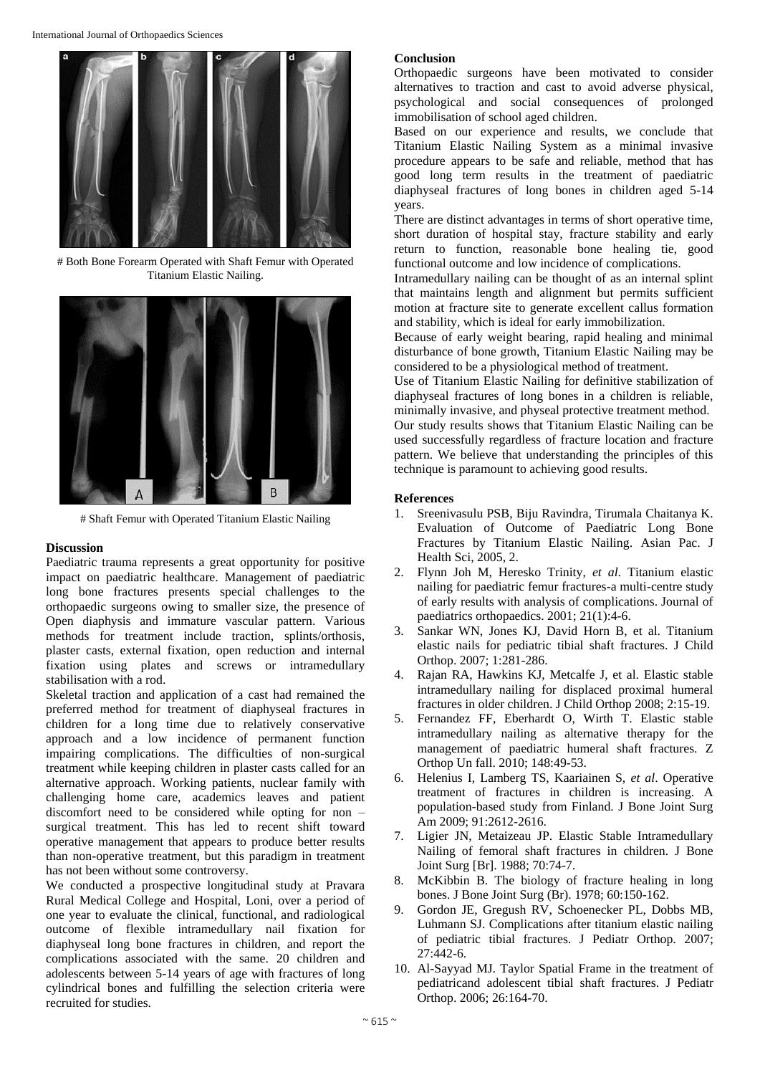

# Both Bone Forearm Operated with Shaft Femur with Operated Titanium Elastic Nailing.



# Shaft Femur with Operated Titanium Elastic Nailing

#### **Discussion**

Paediatric trauma represents a great opportunity for positive impact on paediatric healthcare. Management of paediatric long bone fractures presents special challenges to the orthopaedic surgeons owing to smaller size, the presence of Open diaphysis and immature vascular pattern. Various methods for treatment include traction, splints/orthosis, plaster casts, external fixation, open reduction and internal fixation using plates and screws or intramedullary stabilisation with a rod.

Skeletal traction and application of a cast had remained the preferred method for treatment of diaphyseal fractures in children for a long time due to relatively conservative approach and a low incidence of permanent function impairing complications. The difficulties of non-surgical treatment while keeping children in plaster casts called for an alternative approach. Working patients, nuclear family with challenging home care, academics leaves and patient discomfort need to be considered while opting for non – surgical treatment. This has led to recent shift toward operative management that appears to produce better results than non-operative treatment, but this paradigm in treatment has not been without some controversy.

We conducted a prospective longitudinal study at Pravara Rural Medical College and Hospital, Loni, over a period of one year to evaluate the clinical, functional, and radiological outcome of flexible intramedullary nail fixation for diaphyseal long bone fractures in children, and report the complications associated with the same. 20 children and adolescents between 5-14 years of age with fractures of long cylindrical bones and fulfilling the selection criteria were recruited for studies.

#### **Conclusion**

Orthopaedic surgeons have been motivated to consider alternatives to traction and cast to avoid adverse physical, psychological and social consequences of prolonged immobilisation of school aged children.

Based on our experience and results, we conclude that Titanium Elastic Nailing System as a minimal invasive procedure appears to be safe and reliable, method that has good long term results in the treatment of paediatric diaphyseal fractures of long bones in children aged 5-14 years.

There are distinct advantages in terms of short operative time, short duration of hospital stay, fracture stability and early return to function, reasonable bone healing tie, good functional outcome and low incidence of complications.

Intramedullary nailing can be thought of as an internal splint that maintains length and alignment but permits sufficient motion at fracture site to generate excellent callus formation and stability, which is ideal for early immobilization.

Because of early weight bearing, rapid healing and minimal disturbance of bone growth, Titanium Elastic Nailing may be considered to be a physiological method of treatment.

Use of Titanium Elastic Nailing for definitive stabilization of diaphyseal fractures of long bones in a children is reliable, minimally invasive, and physeal protective treatment method. Our study results shows that Titanium Elastic Nailing can be used successfully regardless of fracture location and fracture pattern. We believe that understanding the principles of this technique is paramount to achieving good results.

# **References**

- 1. Sreenivasulu PSB, Biju Ravindra, Tirumala Chaitanya K. Evaluation of Outcome of Paediatric Long Bone Fractures by Titanium Elastic Nailing. Asian Pac. J Health Sci, 2005, 2.
- 2. Flynn Joh M, Heresko Trinity, *et al*. Titanium elastic nailing for paediatric femur fractures-a multi-centre study of early results with analysis of complications. Journal of paediatrics orthopaedics. 2001; 21(1):4-6.
- 3. Sankar WN, Jones KJ, David Horn B, et al. Titanium elastic nails for pediatric tibial shaft fractures. J Child Orthop. 2007; 1:281-286.
- 4. Rajan RA, Hawkins KJ, Metcalfe J, et al. Elastic stable intramedullary nailing for displaced proximal humeral fractures in older children. J Child Orthop 2008; 2:15-19.
- 5. Fernandez FF, Eberhardt O, Wirth T. Elastic stable intramedullary nailing as alternative therapy for the management of paediatric humeral shaft fractures. Z Orthop Un fall. 2010; 148:49-53.
- 6. Helenius I, Lamberg TS, Kaariainen S, *et al*. Operative treatment of fractures in children is increasing. A population-based study from Finland. J Bone Joint Surg Am 2009; 91:2612-2616.
- 7. Ligier JN, Metaizeau JP. Elastic Stable Intramedullary Nailing of femoral shaft fractures in children. J Bone Joint Surg [Br]. 1988; 70:74-7.
- 8. McKibbin B. The biology of fracture healing in long bones. J Bone Joint Surg (Br). 1978; 60:150-162.
- 9. Gordon JE, Gregush RV, Schoenecker PL, Dobbs MB, Luhmann SJ. Complications after titanium elastic nailing of pediatric tibial fractures. J Pediatr Orthop. 2007; 27:442-6.
- 10. Al-Sayyad MJ. Taylor Spatial Frame in the treatment of pediatricand adolescent tibial shaft fractures. J Pediatr Orthop. 2006; 26:164-70.